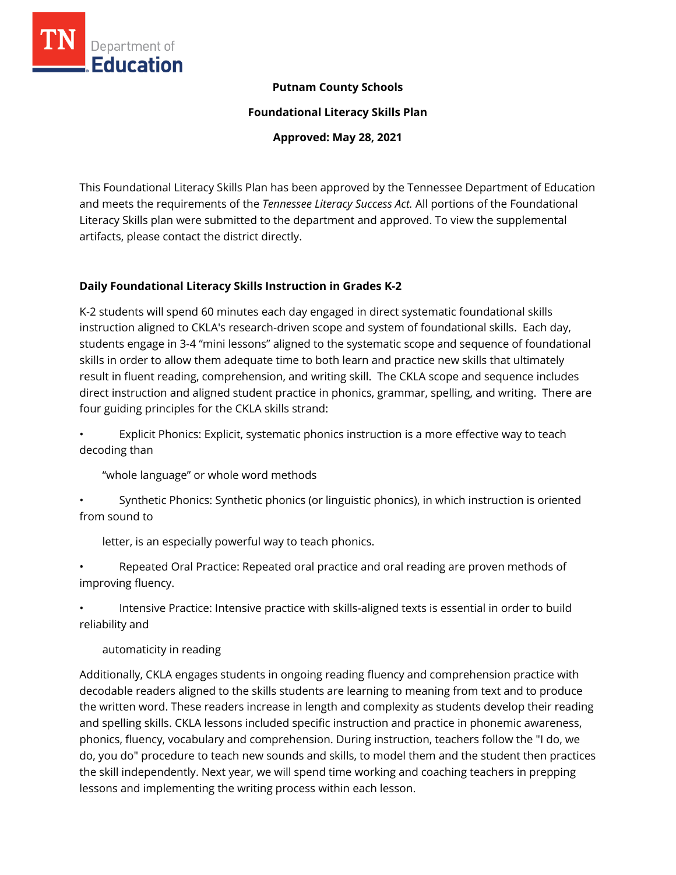

### **Putnam County Schools**

**Foundational Literacy Skills Plan**

**Approved: May 28, 2021**

This Foundational Literacy Skills Plan has been approved by the Tennessee Department of Education and meets the requirements of the *Tennessee Literacy Success Act.* All portions of the Foundational Literacy Skills plan were submitted to the department and approved. To view the supplemental artifacts, please contact the district directly.

# **Daily Foundational Literacy Skills Instruction in Grades K-2**

K-2 students will spend 60 minutes each day engaged in direct systematic foundational skills instruction aligned to CKLA's research-driven scope and system of foundational skills. Each day, students engage in 3-4 "mini lessons" aligned to the systematic scope and sequence of foundational skills in order to allow them adequate time to both learn and practice new skills that ultimately result in fluent reading, comprehension, and writing skill. The CKLA scope and sequence includes direct instruction and aligned student practice in phonics, grammar, spelling, and writing. There are four guiding principles for the CKLA skills strand:

• Explicit Phonics: Explicit, systematic phonics instruction is a more effective way to teach decoding than

"whole language" or whole word methods

• Synthetic Phonics: Synthetic phonics (or linguistic phonics), in which instruction is oriented from sound to

letter, is an especially powerful way to teach phonics.

Repeated Oral Practice: Repeated oral practice and oral reading are proven methods of improving fluency.

• Intensive Practice: Intensive practice with skills-aligned texts is essential in order to build reliability and

automaticity in reading

Additionally, CKLA engages students in ongoing reading fluency and comprehension practice with decodable readers aligned to the skills students are learning to meaning from text and to produce the written word. These readers increase in length and complexity as students develop their reading and spelling skills. CKLA lessons included specific instruction and practice in phonemic awareness, phonics, fluency, vocabulary and comprehension. During instruction, teachers follow the "I do, we do, you do" procedure to teach new sounds and skills, to model them and the student then practices the skill independently. Next year, we will spend time working and coaching teachers in prepping lessons and implementing the writing process within each lesson.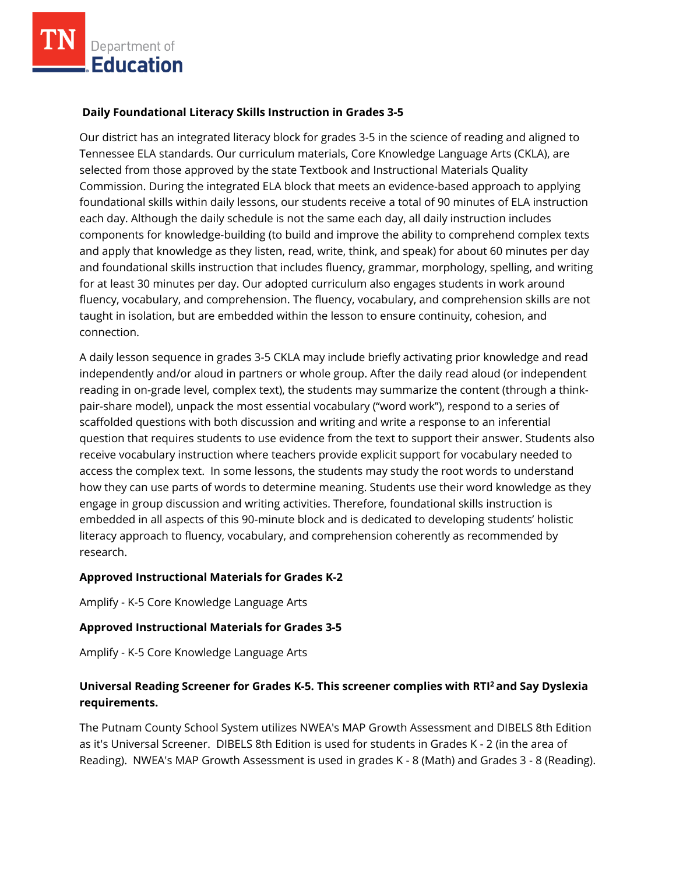# **Daily Foundational Literacy Skills Instruction in Grades 3-5**

Our district has an integrated literacy block for grades 3-5 in the science of reading and aligned to Tennessee ELA standards. Our curriculum materials, Core Knowledge Language Arts (CKLA), are selected from those approved by the state Textbook and Instructional Materials Quality Commission. During the integrated ELA block that meets an evidence-based approach to applying foundational skills within daily lessons, our students receive a total of 90 minutes of ELA instruction each day. Although the daily schedule is not the same each day, all daily instruction includes components for knowledge-building (to build and improve the ability to comprehend complex texts and apply that knowledge as they listen, read, write, think, and speak) for about 60 minutes per day and foundational skills instruction that includes fluency, grammar, morphology, spelling, and writing for at least 30 minutes per day. Our adopted curriculum also engages students in work around fluency, vocabulary, and comprehension. The fluency, vocabulary, and comprehension skills are not taught in isolation, but are embedded within the lesson to ensure continuity, cohesion, and connection.

A daily lesson sequence in grades 3-5 CKLA may include briefly activating prior knowledge and read independently and/or aloud in partners or whole group. After the daily read aloud (or independent reading in on-grade level, complex text), the students may summarize the content (through a thinkpair-share model), unpack the most essential vocabulary ("word work"), respond to a series of scaffolded questions with both discussion and writing and write a response to an inferential question that requires students to use evidence from the text to support their answer. Students also receive vocabulary instruction where teachers provide explicit support for vocabulary needed to access the complex text. In some lessons, the students may study the root words to understand how they can use parts of words to determine meaning. Students use their word knowledge as they engage in group discussion and writing activities. Therefore, foundational skills instruction is embedded in all aspects of this 90-minute block and is dedicated to developing students' holistic literacy approach to fluency, vocabulary, and comprehension coherently as recommended by research.

#### **Approved Instructional Materials for Grades K-2**

Amplify - K-5 Core Knowledge Language Arts

#### **Approved Instructional Materials for Grades 3-5**

Amplify - K-5 Core Knowledge Language Arts

# **Universal Reading Screener for Grades K-5. This screener complies with RTI<sup>2</sup>and Say Dyslexia requirements.**

The Putnam County School System utilizes NWEA's MAP Growth Assessment and DIBELS 8th Edition as it's Universal Screener. DIBELS 8th Edition is used for students in Grades K - 2 (in the area of Reading). NWEA's MAP Growth Assessment is used in grades K - 8 (Math) and Grades 3 - 8 (Reading).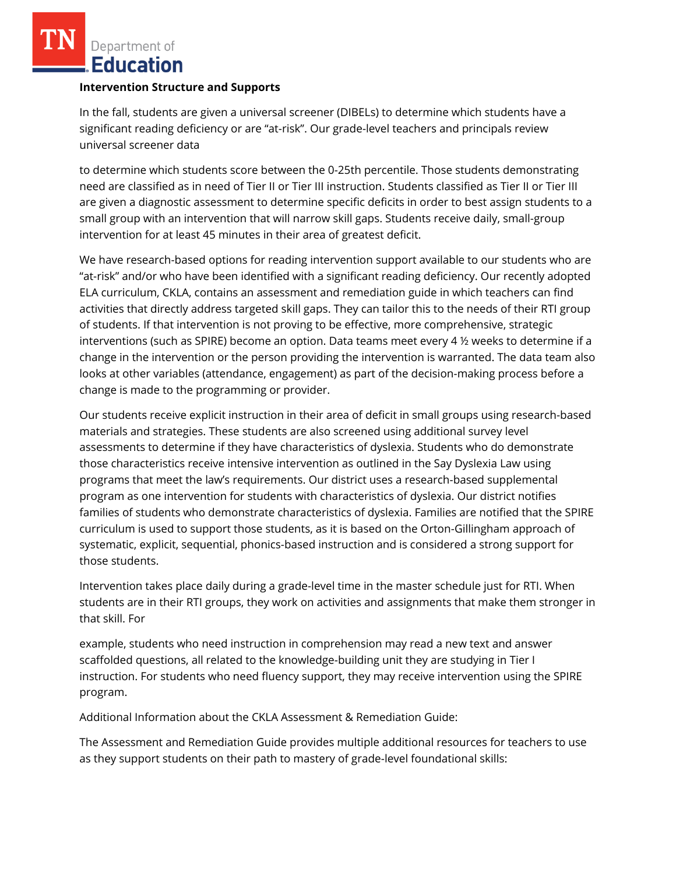Department of **Education** 

#### **Intervention Structure and Supports**

In the fall, students are given a universal screener (DIBELs) to determine which students have a significant reading deficiency or are "at-risk". Our grade-level teachers and principals review universal screener data

to determine which students score between the 0-25th percentile. Those students demonstrating need are classified as in need of Tier II or Tier III instruction. Students classified as Tier II or Tier III are given a diagnostic assessment to determine specific deficits in order to best assign students to a small group with an intervention that will narrow skill gaps. Students receive daily, small-group intervention for at least 45 minutes in their area of greatest deficit.

We have research-based options for reading intervention support available to our students who are "at-risk" and/or who have been identified with a significant reading deficiency. Our recently adopted ELA curriculum, CKLA, contains an assessment and remediation guide in which teachers can find activities that directly address targeted skill gaps. They can tailor this to the needs of their RTI group of students. If that intervention is not proving to be effective, more comprehensive, strategic interventions (such as SPIRE) become an option. Data teams meet every 4 ½ weeks to determine if a change in the intervention or the person providing the intervention is warranted. The data team also looks at other variables (attendance, engagement) as part of the decision-making process before a change is made to the programming or provider.

Our students receive explicit instruction in their area of deficit in small groups using research-based materials and strategies. These students are also screened using additional survey level assessments to determine if they have characteristics of dyslexia. Students who do demonstrate those characteristics receive intensive intervention as outlined in the Say Dyslexia Law using programs that meet the law's requirements. Our district uses a research-based supplemental program as one intervention for students with characteristics of dyslexia. Our district notifies families of students who demonstrate characteristics of dyslexia. Families are notified that the SPIRE curriculum is used to support those students, as it is based on the Orton-Gillingham approach of systematic, explicit, sequential, phonics-based instruction and is considered a strong support for those students.

Intervention takes place daily during a grade-level time in the master schedule just for RTI. When students are in their RTI groups, they work on activities and assignments that make them stronger in that skill. For

example, students who need instruction in comprehension may read a new text and answer scaffolded questions, all related to the knowledge-building unit they are studying in Tier I instruction. For students who need fluency support, they may receive intervention using the SPIRE program.

Additional Information about the CKLA Assessment & Remediation Guide:

The Assessment and Remediation Guide provides multiple additional resources for teachers to use as they support students on their path to mastery of grade-level foundational skills: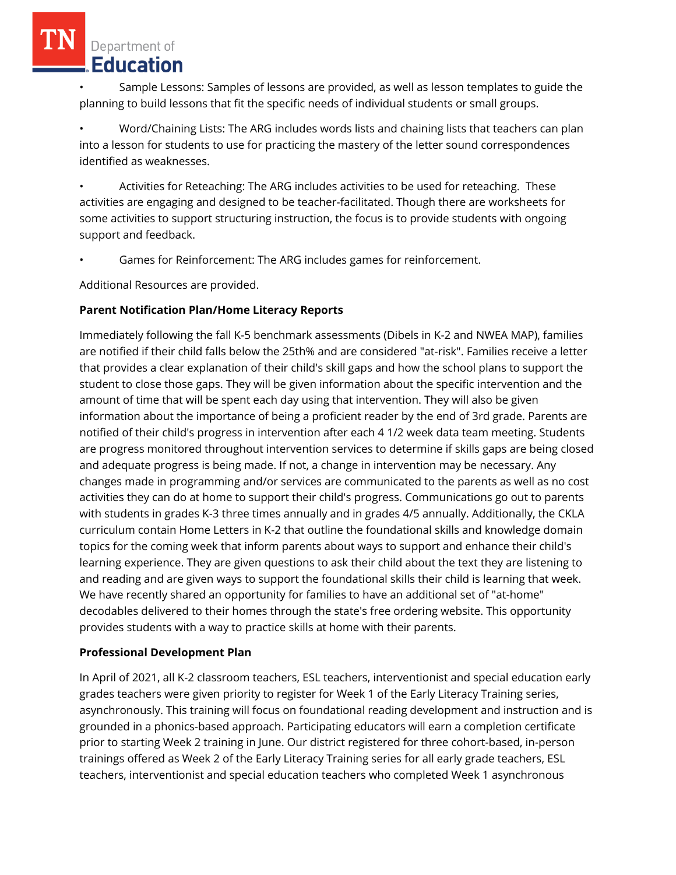• Sample Lessons: Samples of lessons are provided, as well as lesson templates to guide the planning to build lessons that fit the specific needs of individual students or small groups.

• Word/Chaining Lists: The ARG includes words lists and chaining lists that teachers can plan into a lesson for students to use for practicing the mastery of the letter sound correspondences identified as weaknesses.

• Activities for Reteaching: The ARG includes activities to be used for reteaching. These activities are engaging and designed to be teacher-facilitated. Though there are worksheets for some activities to support structuring instruction, the focus is to provide students with ongoing support and feedback.

Games for Reinforcement: The ARG includes games for reinforcement.

Additional Resources are provided.

# **Parent Notification Plan/Home Literacy Reports**

Immediately following the fall K-5 benchmark assessments (Dibels in K-2 and NWEA MAP), families are notified if their child falls below the 25th% and are considered "at-risk". Families receive a letter that provides a clear explanation of their child's skill gaps and how the school plans to support the student to close those gaps. They will be given information about the specific intervention and the amount of time that will be spent each day using that intervention. They will also be given information about the importance of being a proficient reader by the end of 3rd grade. Parents are notified of their child's progress in intervention after each 4 1/2 week data team meeting. Students are progress monitored throughout intervention services to determine if skills gaps are being closed and adequate progress is being made. If not, a change in intervention may be necessary. Any changes made in programming and/or services are communicated to the parents as well as no cost activities they can do at home to support their child's progress. Communications go out to parents with students in grades K-3 three times annually and in grades 4/5 annually. Additionally, the CKLA curriculum contain Home Letters in K-2 that outline the foundational skills and knowledge domain topics for the coming week that inform parents about ways to support and enhance their child's learning experience. They are given questions to ask their child about the text they are listening to and reading and are given ways to support the foundational skills their child is learning that week. We have recently shared an opportunity for families to have an additional set of "at-home" decodables delivered to their homes through the state's free ordering website. This opportunity provides students with a way to practice skills at home with their parents.

# **Professional Development Plan**

In April of 2021, all K-2 classroom teachers, ESL teachers, interventionist and special education early grades teachers were given priority to register for Week 1 of the Early Literacy Training series, asynchronously. This training will focus on foundational reading development and instruction and is grounded in a phonics-based approach. Participating educators will earn a completion certificate prior to starting Week 2 training in June. Our district registered for three cohort-based, in-person trainings offered as Week 2 of the Early Literacy Training series for all early grade teachers, ESL teachers, interventionist and special education teachers who completed Week 1 asynchronous